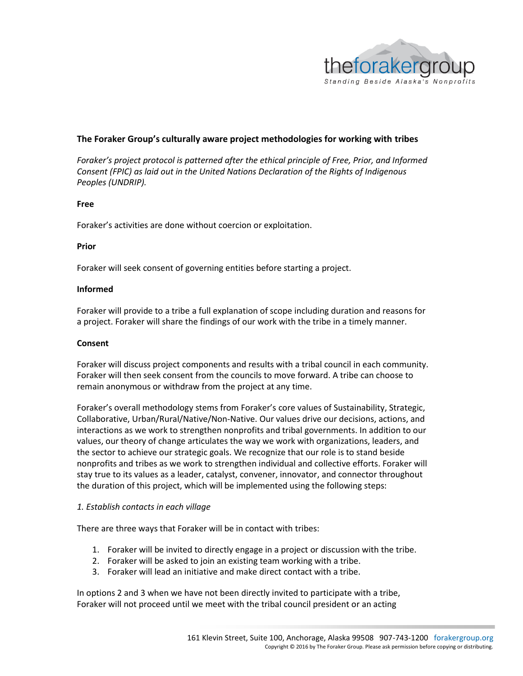

## **The Foraker Group's culturally aware project methodologies for working with tribes**

*Foraker's project protocol is patterned after the ethical principle of Free, Prior, and Informed Consent (FPIC) as laid out in the United Nations Declaration of the Rights of Indigenous Peoples (UNDRIP).*

### **Free**

Foraker's activities are done without coercion or exploitation.

### **Prior**

Foraker will seek consent of governing entities before starting a project.

### **Informed**

Foraker will provide to a tribe a full explanation of scope including duration and reasons for a project. Foraker will share the findings of our work with the tribe in a timely manner.

### **Consent**

Foraker will discuss project components and results with a tribal council in each community. Foraker will then seek consent from the councils to move forward. A tribe can choose to remain anonymous or withdraw from the project at any time.

Foraker's overall methodology stems from Foraker's core values of Sustainability, Strategic, Collaborative, Urban/Rural/Native/Non-Native. Our values drive our decisions, actions, and interactions as we work to strengthen nonprofits and tribal governments. In addition to our values, our theory of change articulates the way we work with organizations, leaders, and the sector to achieve our strategic goals. We recognize that our role is to stand beside nonprofits and tribes as we work to strengthen individual and collective efforts. Foraker will stay true to its values as a leader, catalyst, convener, innovator, and connector throughout the duration of this project, which will be implemented using the following steps:

## *1. Establish contacts in each village*

There are three ways that Foraker will be in contact with tribes:

- 1. Foraker will be invited to directly engage in a project or discussion with the tribe.
- 2. Foraker will be asked to join an existing team working with a tribe.
- 3. Foraker will lead an initiative and make direct contact with a tribe.

In options 2 and 3 when we have not been directly invited to participate with a tribe, Foraker will not proceed until we meet with the tribal council president or an acting